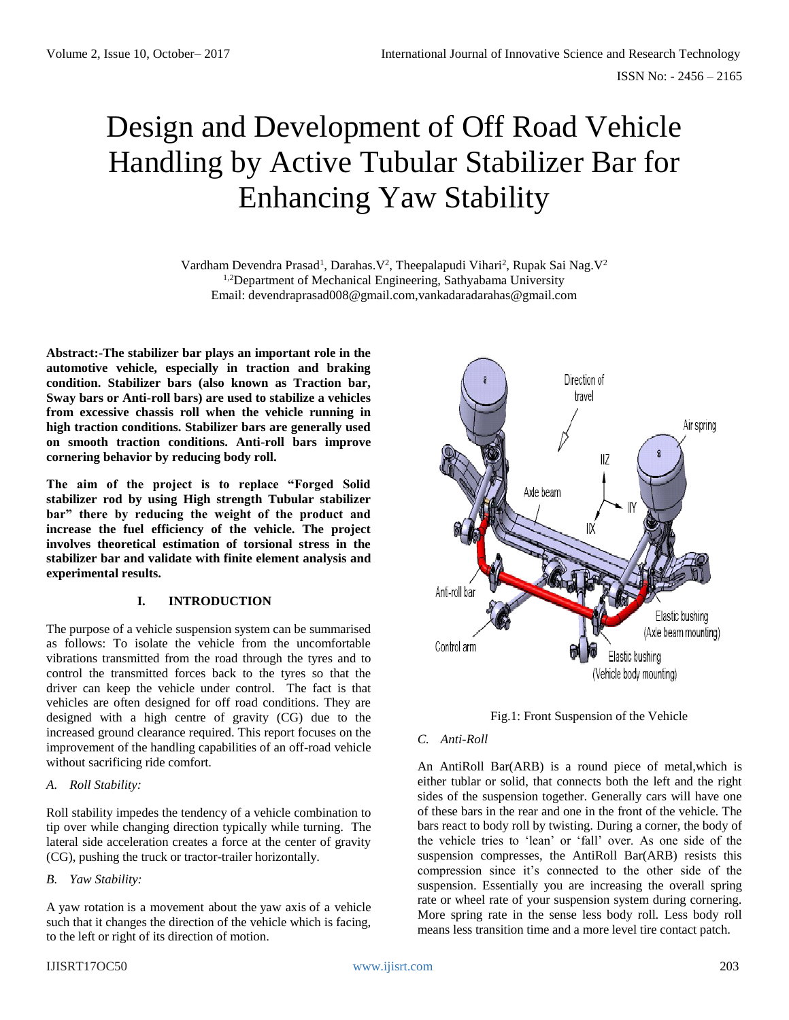# Design and Development of Off Road Vehicle Handling by Active Tubular Stabilizer Bar for Enhancing Yaw Stability

Vardham Devendra Prasad<sup>1</sup>, Darahas. V<sup>2</sup>, Theepalapudi Vihari<sup>2</sup>, Rupak Sai Nag. V<sup>2</sup> <sup>1,2</sup>Department of Mechanical Engineering, Sathyabama University Email: devendraprasad008@gmail.com,vankadaradarahas@gmail.com

**Abstract:-The stabilizer bar plays an important role in the automotive vehicle, especially in traction and braking condition. Stabilizer bars (also known as Traction bar, Sway bars or Anti-roll bars) are used to stabilize a vehicles from excessive chassis roll when the vehicle running in high traction conditions. Stabilizer bars are generally used on smooth traction conditions. Anti-roll bars improve cornering behavior by reducing body roll.**

**The aim of the project is to replace "Forged Solid stabilizer rod by using High strength Tubular stabilizer bar" there by reducing the weight of the product and increase the fuel efficiency of the vehicle. The project involves theoretical estimation of torsional stress in the stabilizer bar and validate with finite element analysis and experimental results.**

# **I. INTRODUCTION**

The purpose of a vehicle suspension system can be summarised as follows: To isolate the vehicle from the uncomfortable vibrations transmitted from the road through the tyres and to control the transmitted forces back to the tyres so that the driver can keep the vehicle under control. The fact is that vehicles are often designed for off road conditions. They are designed with a high centre of gravity (CG) due to the increased ground clearance required. This report focuses on the improvement of the handling capabilities of an off-road vehicle without sacrificing ride comfort.

## *A. Roll Stability:*

Roll stability impedes the tendency of a vehicle combination to tip over while changing direction typically while turning. The lateral side acceleration creates a force at the center of gravity (CG), pushing the truck or tractor-trailer horizontally.

# *B. Yaw Stability:*

A yaw rotation is a movement about the yaw axis of a vehicle such that it changes the direction of the vehicle which is facing, to the left or right of its direction of motion.





# *C. Anti-Roll*

An AntiRoll Bar(ARB) is a round piece of metal,which is either tublar or solid, that connects both the left and the right sides of the suspension together. Generally cars will have one of these bars in the rear and one in the front of the vehicle. The bars react to body roll by twisting. During a corner, the body of the vehicle tries to 'lean' or 'fall' over. As one side of the suspension compresses, the AntiRoll Bar(ARB) resists this compression since it's connected to the other side of the suspension. Essentially you are increasing the overall spring rate or wheel rate of your suspension system during cornering. More spring rate in the sense less body roll. Less body roll means less transition time and a more level tire contact patch.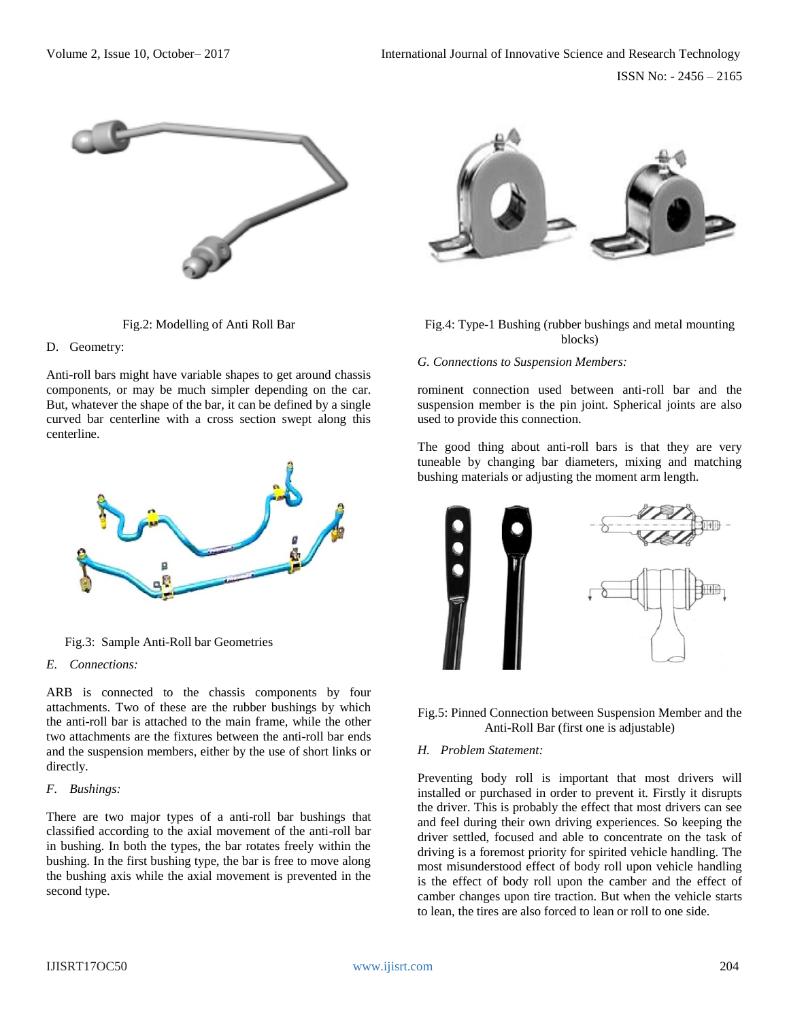



## D. Geometry:

Anti-roll bars might have variable shapes to get around chassis components, or may be much simpler depending on the car. But, whatever the shape of the bar, it can be defined by a single curved bar centerline with a cross section swept along this centerline.



Fig.3: Sample Anti-Roll bar Geometries

# *E. Connections:*

ARB is connected to the chassis components by four attachments. Two of these are the rubber bushings by which the anti-roll bar is attached to the main frame, while the other two attachments are the fixtures between the anti-roll bar ends and the suspension members, either by the use of short links or directly.

# *F. Bushings:*

There are two major types of a anti-roll bar bushings that classified according to the axial movement of the anti-roll bar in bushing. In both the types, the bar rotates freely within the bushing. In the first bushing type, the bar is free to move along the bushing axis while the axial movement is prevented in the second type.



Fig.4: Type-1 Bushing (rubber bushings and metal mounting blocks)

## *G. Connections to Suspension Members:*

rominent connection used between anti-roll bar and the suspension member is the pin joint. Spherical joints are also used to provide this connection.

The good thing about anti-roll bars is that they are very tuneable by changing bar diameters, mixing and matching bushing materials or adjusting the moment arm length.



Fig.5: Pinned Connection between Suspension Member and the Anti-Roll Bar (first one is adjustable)

### *H. Problem Statement:*

Preventing body roll is important that most drivers will installed or purchased in order to prevent it. Firstly it disrupts the driver. This is probably the effect that most drivers can see and feel during their own driving experiences. So keeping the driver settled, focused and able to concentrate on the task of driving is a foremost priority for spirited vehicle handling. The most misunderstood effect of body roll upon vehicle handling is the effect of body roll upon the camber and the effect of camber changes upon tire traction. But when the vehicle starts to lean, the tires are also forced to lean or roll to one side.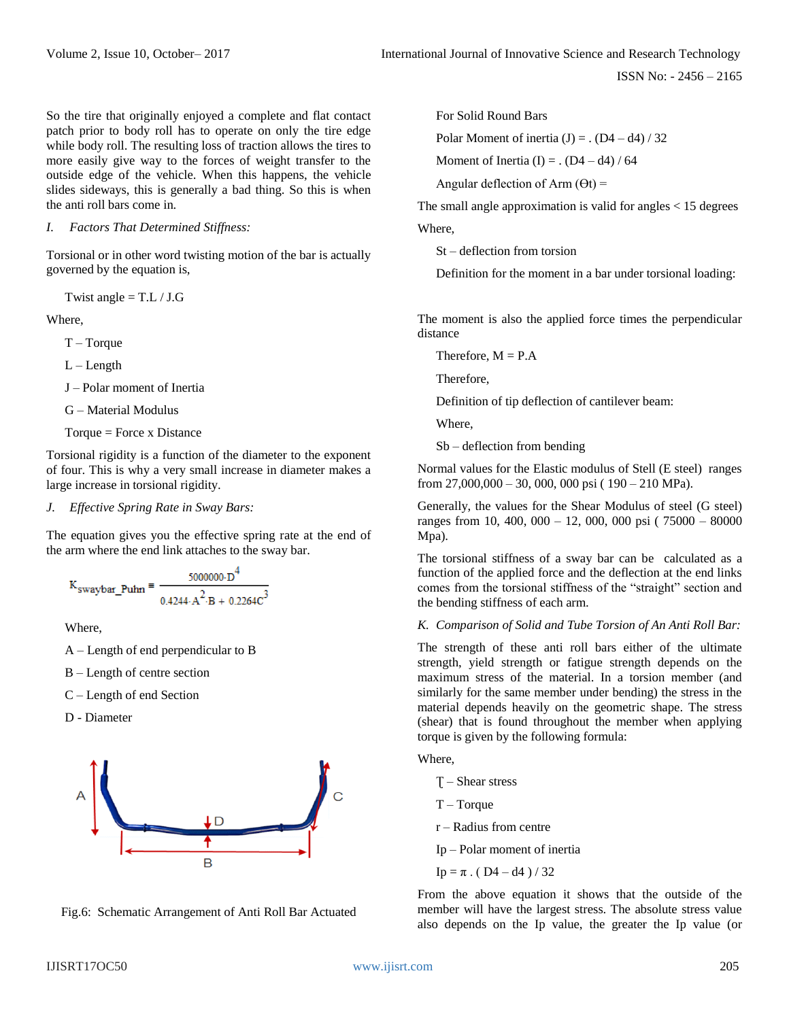So the tire that originally enjoyed a complete and flat contact patch prior to body roll has to operate on only the tire edge while body roll. The resulting loss of traction allows the tires to more easily give way to the forces of weight transfer to the outside edge of the vehicle. When this happens, the vehicle slides sideways, this is generally a bad thing. So this is when the anti roll bars come in.

*I. Factors That Determined Stiffness:* 

Torsional or in other word twisting motion of the bar is actually governed by the equation is,

Twist angle  $=$  T.L / J.G

Where,

 $T - Torque$ 

 $L - Length$ 

J – Polar moment of Inertia

G – Material Modulus

 $Torque = Force x Distance$ 

Torsional rigidity is a function of the diameter to the exponent of four. This is why a very small increase in diameter makes a large increase in torsional rigidity.

#### *J. Effective Spring Rate in Sway Bars:*

The equation gives you the effective spring rate at the end of the arm where the end link attaches to the sway bar.

$$
K_{swaybar\_Puhn} = \frac{5000000 \cdot D^4}{0.4244 \cdot A^2 \cdot B + 0.2264 C^3}
$$

Where,

- A Length of end perpendicular to B
- B Length of centre section
- C Length of end Section

D - Diameter



Fig.6: Schematic Arrangement of Anti Roll Bar Actuated

For Solid Round Bars

Polar Moment of inertia  $(J) =$ .  $(D4 - d4) / 32$ 

Moment of Inertia (I) =  $($  D4 – d4) / 64

Angular deflection of Arm  $(\Theta t)$  =

The small angle approximation is valid for angles  $<$  15 degrees Where,

St – deflection from torsion

Definition for the moment in a bar under torsional loading:

The moment is also the applied force times the perpendicular distance

Therefore,  $M = P.A$ 

Therefore,

Definition of tip deflection of cantilever beam:

Where,

Sb – deflection from bending

Normal values for the Elastic modulus of Stell (E steel) ranges from 27,000,000 – 30, 000, 000 psi ( 190 – 210 MPa).

Generally, the values for the Shear Modulus of steel (G steel) ranges from 10, 400, 000 – 12, 000, 000 psi ( 75000 – 80000 Mpa).

The torsional stiffness of a sway bar can be calculated as a function of the applied force and the deflection at the end links comes from the torsional stiffness of the "straight" section and the bending stiffness of each arm.

*K. Comparison of Solid and Tube Torsion of An Anti Roll Bar:*

The strength of these anti roll bars either of the ultimate strength, yield strength or fatigue strength depends on the maximum stress of the material. In a torsion member (and similarly for the same member under bending) the stress in the material depends heavily on the geometric shape. The stress (shear) that is found throughout the member when applying torque is given by the following formula:

Where,

Ʈ – Shear stress

- T Torque
- r Radius from centre
- Ip Polar moment of inertia
- Ip =  $\pi$ . (D4 d4) / 32

From the above equation it shows that the outside of the member will have the largest stress. The absolute stress value also depends on the Ip value, the greater the Ip value (or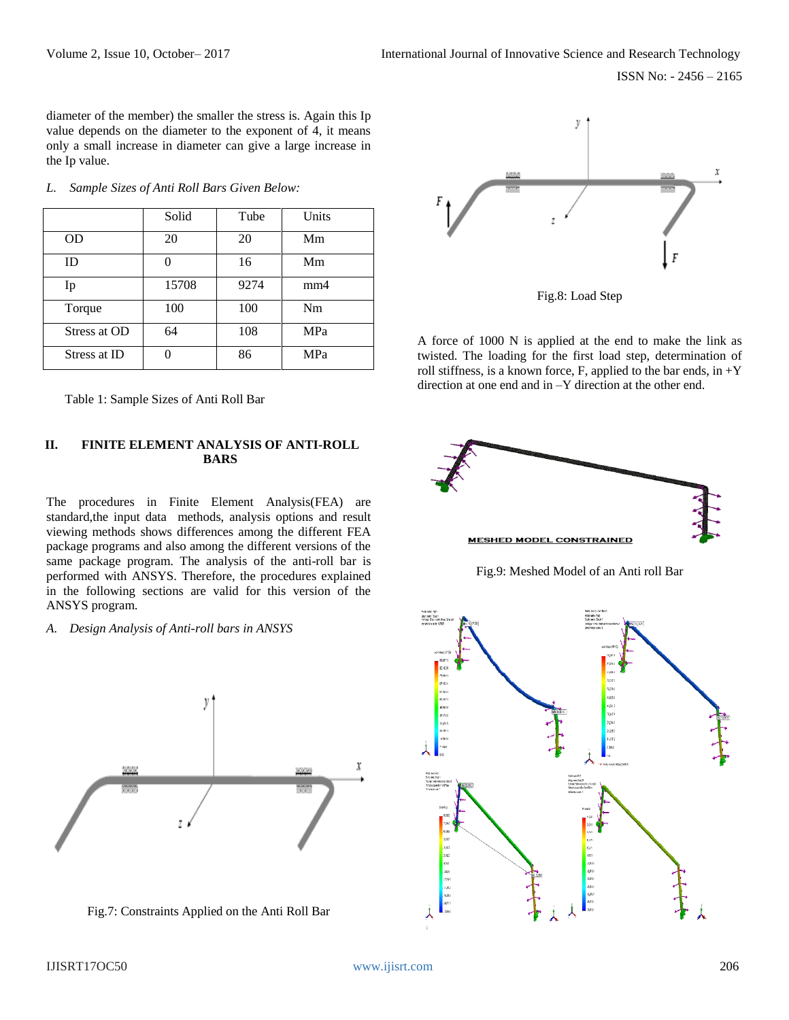ISSN No: - 2456 – 2165

diameter of the member) the smaller the stress is. Again this Ip value depends on the diameter to the exponent of 4, it means only a small increase in diameter can give a large increase in the Ip value.

|              | Solid | Tube | Units |
|--------------|-------|------|-------|
| <b>OD</b>    | 20    | 20   | Mm    |
| ID           | 0     | 16   | Mm    |
| Ip           | 15708 | 9274 | mm4   |
| Torque       | 100   | 100  | Nm    |
| Stress at OD | 64    | 108  | MPa   |
| Stress at ID |       | 86   | MPa   |

*L. Sample Sizes of Anti Roll Bars Given Below:*

Table 1: Sample Sizes of Anti Roll Bar

# **II. FINITE ELEMENT ANALYSIS OF ANTI-ROLL BARS**

The procedures in Finite Element Analysis(FEA) are standard,the input data methods, analysis options and result viewing methods shows differences among the different FEA package programs and also among the different versions of the same package program. The analysis of the anti-roll bar is performed with ANSYS. Therefore, the procedures explained in the following sections are valid for this version of the ANSYS program.

#### *A. Design Analysis of Anti-roll bars in ANSYS*



Fig.7: Constraints Applied on the Anti Roll Bar



Fig.8: Load Step

A force of 1000 N is applied at the end to make the link as twisted. The loading for the first load step, determination of roll stiffness, is a known force, F, applied to the bar ends, in  $+Y$ direction at one end and in –Y direction at the other end.



Fig.9: Meshed Model of an Anti roll Bar

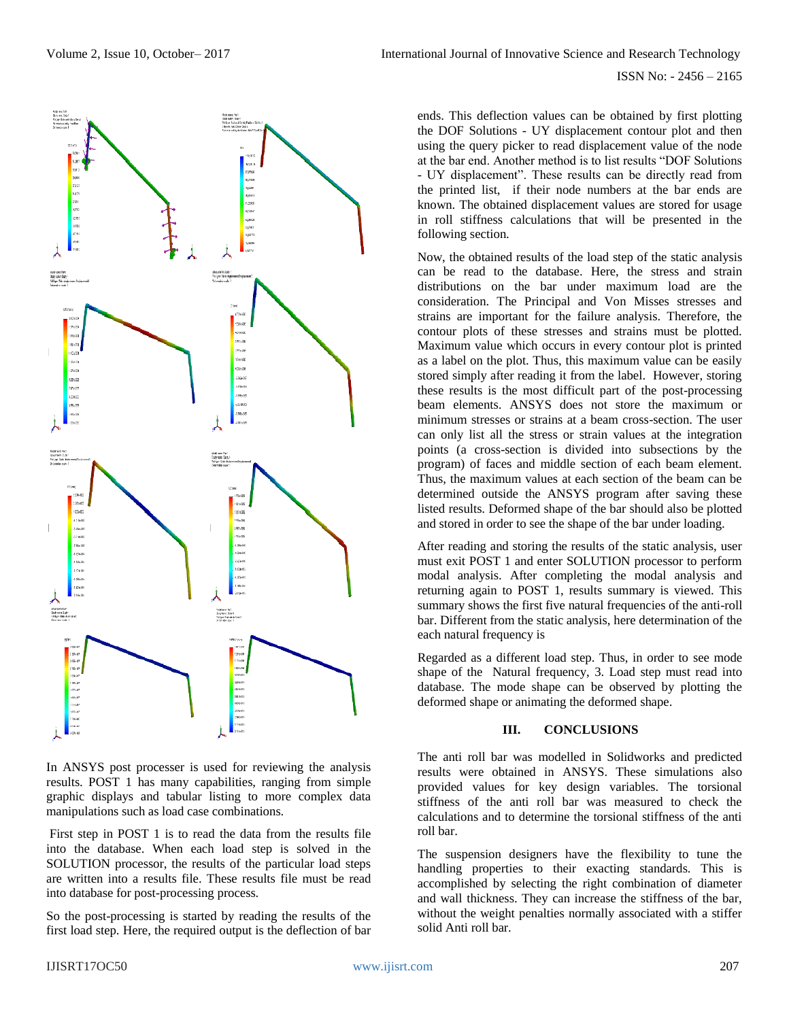

In ANSYS post processer is used for reviewing the analysis results. POST 1 has many capabilities, ranging from simple graphic displays and tabular listing to more complex data manipulations such as load case combinations.

First step in POST 1 is to read the data from the results file into the database. When each load step is solved in the SOLUTION processor, the results of the particular load steps are written into a results file. These results file must be read into database for post-processing process.

So the post-processing is started by reading the results of the first load step. Here, the required output is the deflection of bar ends. This deflection values can be obtained by first plotting the DOF Solutions - UY displacement contour plot and then using the query picker to read displacement value of the node at the bar end. Another method is to list results "DOF Solutions - UY displacement". These results can be directly read from the printed list, if their node numbers at the bar ends are known. The obtained displacement values are stored for usage in roll stiffness calculations that will be presented in the following section.

Now, the obtained results of the load step of the static analysis can be read to the database. Here, the stress and strain distributions on the bar under maximum load are the consideration. The Principal and Von Misses stresses and strains are important for the failure analysis. Therefore, the contour plots of these stresses and strains must be plotted. Maximum value which occurs in every contour plot is printed as a label on the plot. Thus, this maximum value can be easily stored simply after reading it from the label. However, storing these results is the most difficult part of the post-processing beam elements. ANSYS does not store the maximum or minimum stresses or strains at a beam cross-section. The user can only list all the stress or strain values at the integration points (a cross-section is divided into subsections by the program) of faces and middle section of each beam element. Thus, the maximum values at each section of the beam can be determined outside the ANSYS program after saving these listed results. Deformed shape of the bar should also be plotted and stored in order to see the shape of the bar under loading.

After reading and storing the results of the static analysis, user must exit POST 1 and enter SOLUTION processor to perform modal analysis. After completing the modal analysis and returning again to POST 1, results summary is viewed. This summary shows the first five natural frequencies of the anti-roll bar. Different from the static analysis, here determination of the each natural frequency is

Regarded as a different load step. Thus, in order to see mode shape of the Natural frequency, 3. Load step must read into database. The mode shape can be observed by plotting the deformed shape or animating the deformed shape.

# **III. CONCLUSIONS**

The anti roll bar was modelled in Solidworks and predicted results were obtained in ANSYS. These simulations also provided values for key design variables. The torsional stiffness of the anti roll bar was measured to check the calculations and to determine the torsional stiffness of the anti roll bar.

The suspension designers have the flexibility to tune the handling properties to their exacting standards. This is accomplished by selecting the right combination of diameter and wall thickness. They can increase the stiffness of the bar, without the weight penalties normally associated with a stiffer solid Anti roll bar.